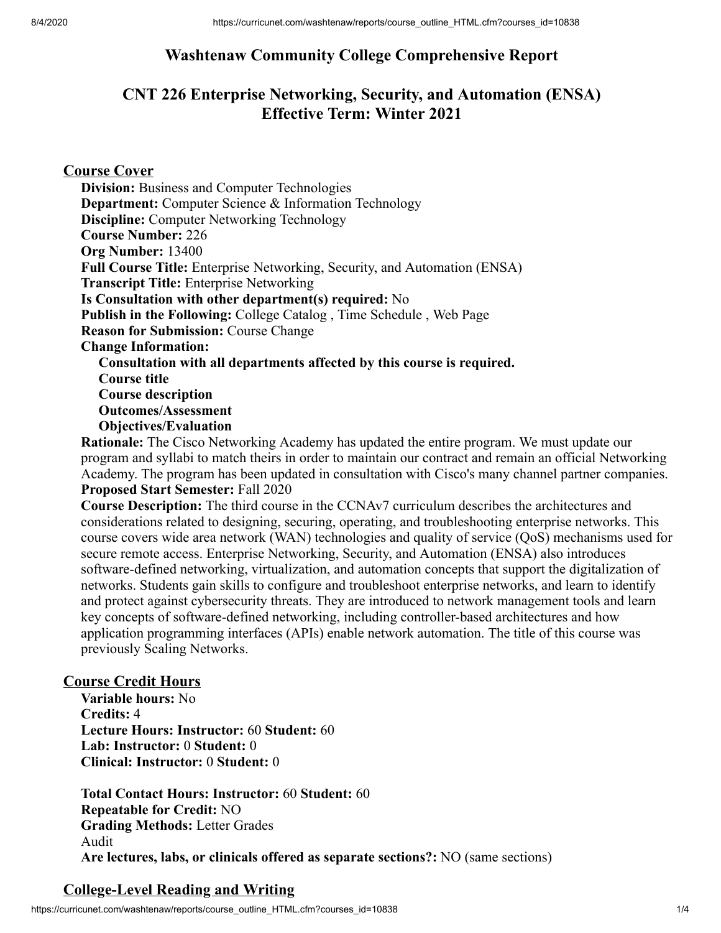# **Washtenaw Community College Comprehensive Report**

# **CNT 226 Enterprise Networking, Security, and Automation (ENSA) Effective Term: Winter 2021**

### **Course Cover**

**Division:** Business and Computer Technologies **Department:** Computer Science & Information Technology **Discipline:** Computer Networking Technology **Course Number:** 226 **Org Number:** 13400 **Full Course Title:** Enterprise Networking, Security, and Automation (ENSA) **Transcript Title:** Enterprise Networking **Is Consultation with other department(s) required:** No **Publish in the Following:** College Catalog , Time Schedule , Web Page **Reason for Submission:** Course Change **Change Information: Consultation with all departments affected by this course is required. Course title Course description Outcomes/Assessment Objectives/Evaluation**

**Rationale:** The Cisco Networking Academy has updated the entire program. We must update our program and syllabi to match theirs in order to maintain our contract and remain an official Networking Academy. The program has been updated in consultation with Cisco's many channel partner companies. **Proposed Start Semester:** Fall 2020

**Course Description:** The third course in the CCNAv7 curriculum describes the architectures and considerations related to designing, securing, operating, and troubleshooting enterprise networks. This course covers wide area network (WAN) technologies and quality of service (QoS) mechanisms used for secure remote access. Enterprise Networking, Security, and Automation (ENSA) also introduces software-defined networking, virtualization, and automation concepts that support the digitalization of networks. Students gain skills to configure and troubleshoot enterprise networks, and learn to identify and protect against cybersecurity threats. They are introduced to network management tools and learn key concepts of software-defined networking, including controller-based architectures and how application programming interfaces (APIs) enable network automation. The title of this course was previously Scaling Networks.

#### **Course Credit Hours**

**Variable hours:** No **Credits:** 4 **Lecture Hours: Instructor:** 60 **Student:** 60 **Lab: Instructor:** 0 **Student:** 0 **Clinical: Instructor:** 0 **Student:** 0

**Total Contact Hours: Instructor:** 60 **Student:** 60 **Repeatable for Credit:** NO **Grading Methods:** Letter Grades Audit **Are lectures, labs, or clinicals offered as separate sections?:** NO (same sections)

### **College-Level Reading and Writing**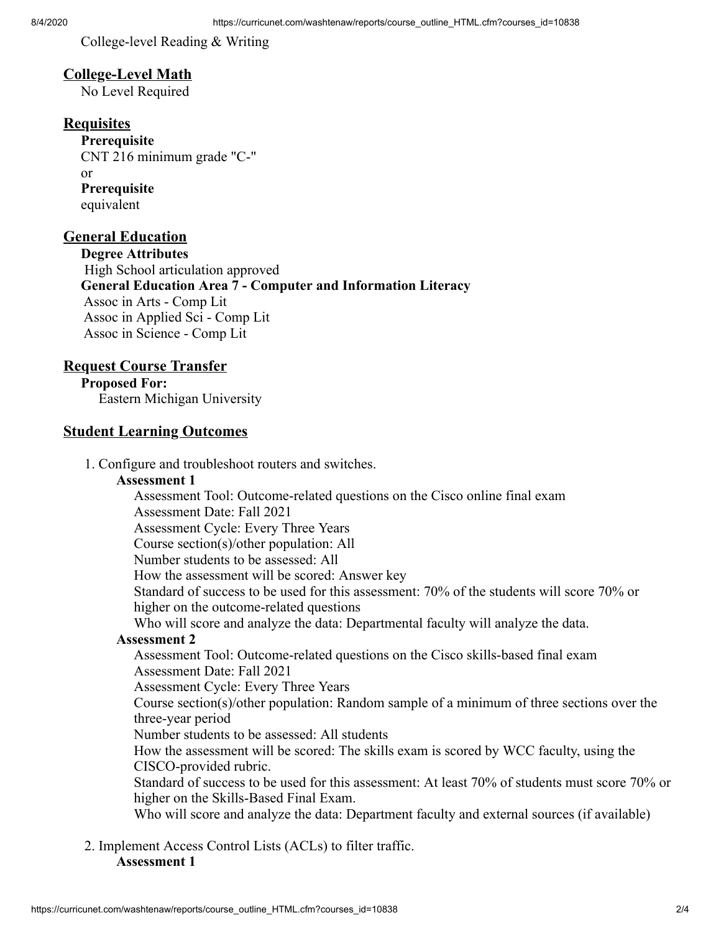College-level Reading & Writing

### **College-Level Math**

No Level Required

## **Requisites**

**Prerequisite** CNT 216 minimum grade "C-" or **Prerequisite** equivalent

### **General Education**

**Degree Attributes** High School articulation approved **General Education Area 7 - Computer and Information Literacy** Assoc in Arts - Comp Lit Assoc in Applied Sci - Comp Lit Assoc in Science - Comp Lit

### **Request Course Transfer**

**Proposed For:** Eastern Michigan University

#### **Student Learning Outcomes**

1. Configure and troubleshoot routers and switches.

#### **Assessment 1**

Assessment Tool: Outcome-related questions on the Cisco online final exam Assessment Date: Fall 2021 Assessment Cycle: Every Three Years Course section(s)/other population: All Number students to be assessed: All How the assessment will be scored: Answer key Standard of success to be used for this assessment: 70% of the students will score 70% or higher on the outcome-related questions Who will score and analyze the data: Departmental faculty will analyze the data. **Assessment 2** Assessment Tool: Outcome-related questions on the Cisco skills-based final exam Assessment Date: Fall 2021 Assessment Cycle: Every Three Years Course section(s)/other population: Random sample of a minimum of three sections over the three-year period Number students to be assessed: All students How the assessment will be scored: The skills exam is scored by WCC faculty, using the CISCO-provided rubric. Standard of success to be used for this assessment: At least 70% of students must score 70% or higher on the Skills-Based Final Exam. Who will score and analyze the data: Department faculty and external sources (if available)

2. Implement Access Control Lists (ACLs) to filter traffic. **Assessment 1**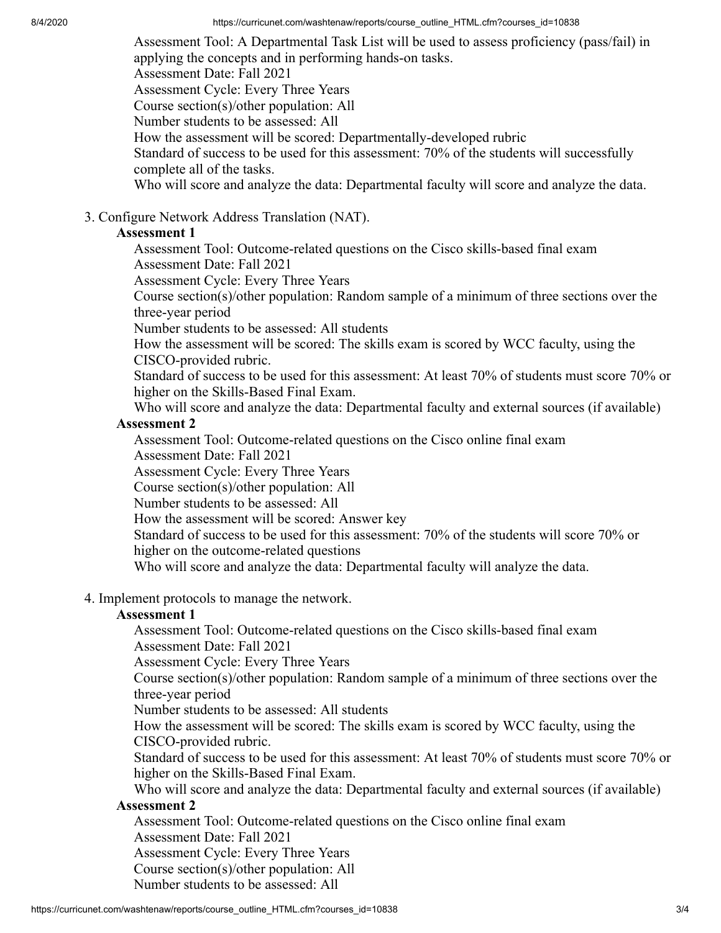8/4/2020 https://curricunet.com/washtenaw/reports/course\_outline\_HTML.cfm?courses\_id=10838

Assessment Tool: A Departmental Task List will be used to assess proficiency (pass/fail) in applying the concepts and in performing hands-on tasks. Assessment Date: Fall 2021 Assessment Cycle: Every Three Years Course section(s)/other population: All Number students to be assessed: All How the assessment will be scored: Departmentally-developed rubric Standard of success to be used for this assessment: 70% of the students will successfully complete all of the tasks. Who will score and analyze the data: Departmental faculty will score and analyze the data.

3. Configure Network Address Translation (NAT).

### **Assessment 1**

Assessment Tool: Outcome-related questions on the Cisco skills-based final exam Assessment Date: Fall 2021

Assessment Cycle: Every Three Years

Course section(s)/other population: Random sample of a minimum of three sections over the three-year period

Number students to be assessed: All students

How the assessment will be scored: The skills exam is scored by WCC faculty, using the CISCO-provided rubric.

Standard of success to be used for this assessment: At least 70% of students must score 70% or higher on the Skills-Based Final Exam.

Who will score and analyze the data: Departmental faculty and external sources (if available)

### **Assessment 2**

Assessment Tool: Outcome-related questions on the Cisco online final exam Assessment Date: Fall 2021

Assessment Cycle: Every Three Years

Course section(s)/other population: All

Number students to be assessed: All

How the assessment will be scored: Answer key

Standard of success to be used for this assessment: 70% of the students will score 70% or higher on the outcome-related questions

Who will score and analyze the data: Departmental faculty will analyze the data.

4. Implement protocols to manage the network.

### **Assessment 1**

Assessment Tool: Outcome-related questions on the Cisco skills-based final exam Assessment Date: Fall 2021

Assessment Cycle: Every Three Years

Course section(s)/other population: Random sample of a minimum of three sections over the three-year period

Number students to be assessed: All students

How the assessment will be scored: The skills exam is scored by WCC faculty, using the CISCO-provided rubric.

Standard of success to be used for this assessment: At least 70% of students must score 70% or higher on the Skills-Based Final Exam.

Who will score and analyze the data: Departmental faculty and external sources (if available)

# **Assessment 2**

Assessment Tool: Outcome-related questions on the Cisco online final exam Assessment Date: Fall 2021 Assessment Cycle: Every Three Years Course section(s)/other population: All

Number students to be assessed: All